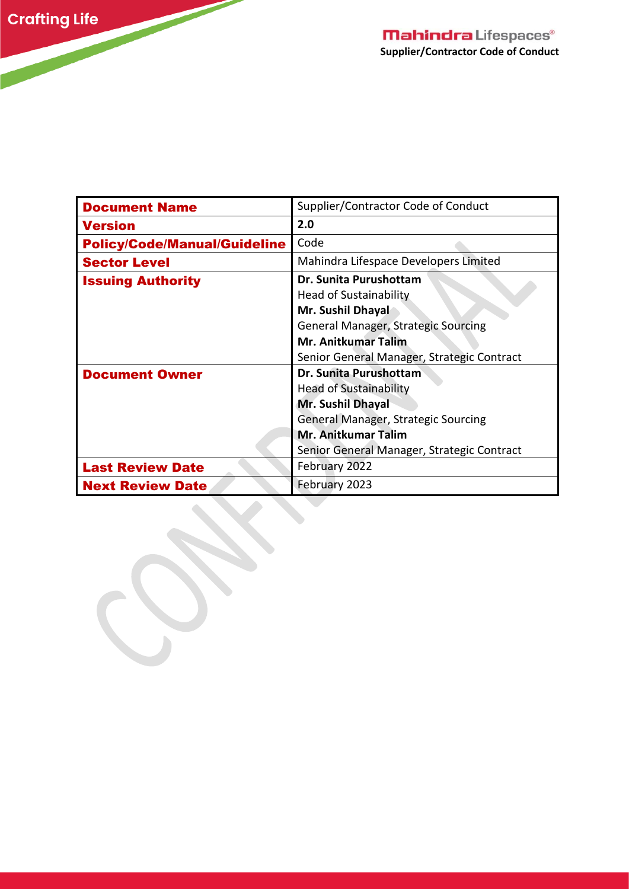$\overline{\phantom{a}}$ 

| <b>Document Name</b>                | Supplier/Contractor Code of Conduct                                                                                                                                                                    |
|-------------------------------------|--------------------------------------------------------------------------------------------------------------------------------------------------------------------------------------------------------|
| <b>Version</b>                      | 2.0                                                                                                                                                                                                    |
| <b>Policy/Code/Manual/Guideline</b> | Code                                                                                                                                                                                                   |
| <b>Sector Level</b>                 | Mahindra Lifespace Developers Limited                                                                                                                                                                  |
| <b>Issuing Authority</b>            | Dr. Sunita Purushottam<br><b>Head of Sustainability</b><br>Mr. Sushil Dhayal<br><b>General Manager, Strategic Sourcing</b><br><b>Mr. Anitkumar Talim</b><br>Senior General Manager, Strategic Contract |
| <b>Document Owner</b>               | Dr. Sunita Purushottam<br><b>Head of Sustainability</b><br>Mr. Sushil Dhayal<br>General Manager, Strategic Sourcing<br><b>Mr. Anitkumar Talim</b><br>Senior General Manager, Strategic Contract        |
| <b>Last Review Date</b>             | February 2022                                                                                                                                                                                          |
| <b>Next Review Date</b>             | February 2023                                                                                                                                                                                          |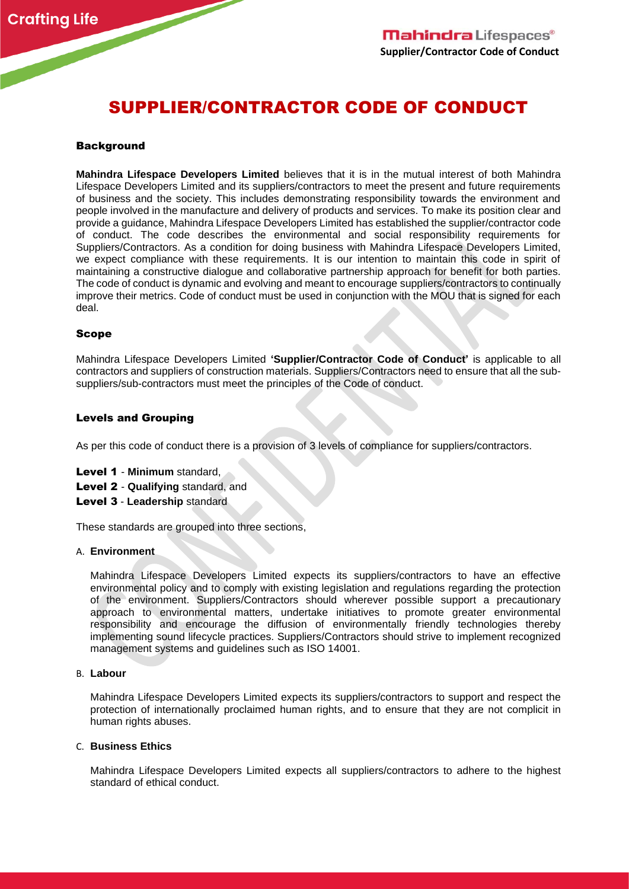# SUPPLIER/CONTRACTOR CODE OF CONDUCT

#### **Background**

**Mahindra Lifespace Developers Limited** believes that it is in the mutual interest of both Mahindra Lifespace Developers Limited and its suppliers/contractors to meet the present and future requirements of business and the society. This includes demonstrating responsibility towards the environment and people involved in the manufacture and delivery of products and services. To make its position clear and provide a guidance, Mahindra Lifespace Developers Limited has established the supplier/contractor code of conduct. The code describes the environmental and social responsibility requirements for Suppliers/Contractors. As a condition for doing business with Mahindra Lifespace Developers Limited, we expect compliance with these requirements. It is our intention to maintain this code in spirit of maintaining a constructive dialogue and collaborative partnership approach for benefit for both parties. The code of conduct is dynamic and evolving and meant to encourage suppliers/contractors to continually improve their metrics. Code of conduct must be used in conjunction with the MOU that is signed for each deal.

#### Scope

Mahindra Lifespace Developers Limited **'Supplier/Contractor Code of Conduct'** is applicable to all contractors and suppliers of construction materials. Suppliers/Contractors need to ensure that all the subsuppliers/sub-contractors must meet the principles of the Code of conduct.

#### Levels and Grouping

As per this code of conduct there is a provision of 3 levels of compliance for suppliers/contractors.

- Level 1 **Minimum** standard,
- Level 2 **Qualifying** standard, and
- Level 3 **Leadership** standard

These standards are grouped into three sections,

#### A. **Environment**

Mahindra Lifespace Developers Limited expects its suppliers/contractors to have an effective environmental policy and to comply with existing legislation and regulations regarding the protection of the environment. Suppliers/Contractors should wherever possible support a precautionary approach to environmental matters, undertake initiatives to promote greater environmental responsibility and encourage the diffusion of environmentally friendly technologies thereby implementing sound lifecycle practices. Suppliers/Contractors should strive to implement recognized management systems and guidelines such as ISO 14001.

#### B. **Labour**

Mahindra Lifespace Developers Limited expects its suppliers/contractors to support and respect the protection of internationally proclaimed human rights, and to ensure that they are not complicit in human rights abuses.

#### C. **Business Ethics**

Mahindra Lifespace Developers Limited expects all suppliers/contractors to adhere to the highest standard of ethical conduct.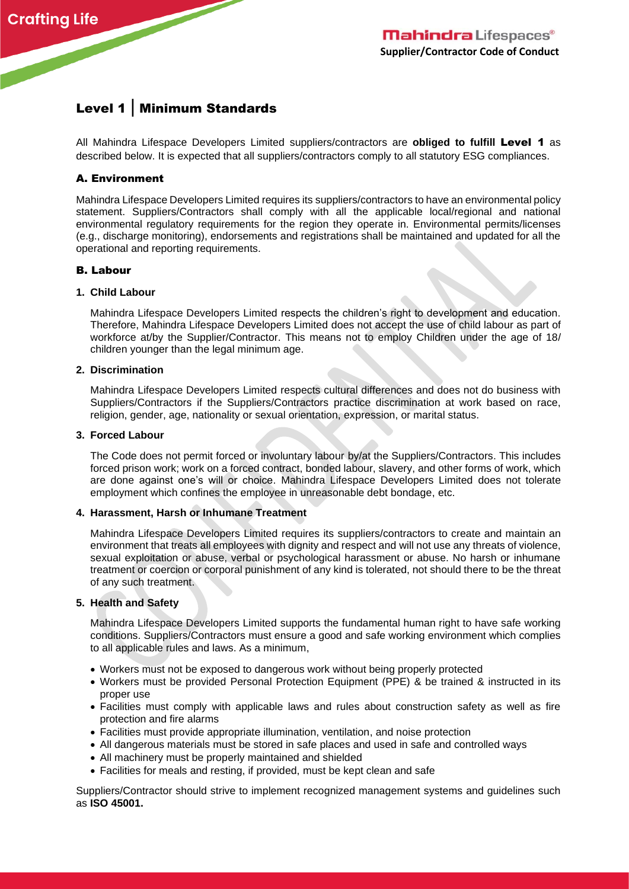# Level 1 | Minimum Standards

All Mahindra Lifespace Developers Limited suppliers/contractors are **obliged to fulfill** Level 1 as described below. It is expected that all suppliers/contractors comply to all statutory ESG compliances.

## A. Environment

Mahindra Lifespace Developers Limited requires its suppliers/contractors to have an environmental policy statement. Suppliers/Contractors shall comply with all the applicable local/regional and national environmental regulatory requirements for the region they operate in. Environmental permits/licenses (e.g., discharge monitoring), endorsements and registrations shall be maintained and updated for all the operational and reporting requirements.

### B. Labour

#### **1. Child Labour**

Mahindra Lifespace Developers Limited respects the children's right to development and education. Therefore, Mahindra Lifespace Developers Limited does not accept the use of child labour as part of workforce at/by the Supplier/Contractor. This means not to employ Children under the age of 18/ children younger than the legal minimum age.

#### **2. Discrimination**

Mahindra Lifespace Developers Limited respects cultural differences and does not do business with Suppliers/Contractors if the Suppliers/Contractors practice discrimination at work based on race, religion, gender, age, nationality or sexual orientation, expression, or marital status.

#### **3. Forced Labour**

The Code does not permit forced or involuntary labour by/at the Suppliers/Contractors. This includes forced prison work; work on a forced contract, bonded labour, slavery, and other forms of work, which are done against one's will or choice. Mahindra Lifespace Developers Limited does not tolerate employment which confines the employee in unreasonable debt bondage, etc.

#### **4. Harassment, Harsh or Inhumane Treatment**

Mahindra Lifespace Developers Limited requires its suppliers/contractors to create and maintain an environment that treats all employees with dignity and respect and will not use any threats of violence, sexual exploitation or abuse, verbal or psychological harassment or abuse. No harsh or inhumane treatment or coercion or corporal punishment of any kind is tolerated, not should there to be the threat of any such treatment.

#### **5. Health and Safety**

Mahindra Lifespace Developers Limited supports the fundamental human right to have safe working conditions. Suppliers/Contractors must ensure a good and safe working environment which complies to all applicable rules and laws. As a minimum,

- Workers must not be exposed to dangerous work without being properly protected
- Workers must be provided Personal Protection Equipment (PPE) & be trained & instructed in its proper use
- Facilities must comply with applicable laws and rules about construction safety as well as fire protection and fire alarms
- Facilities must provide appropriate illumination, ventilation, and noise protection
- All dangerous materials must be stored in safe places and used in safe and controlled ways
- All machinery must be properly maintained and shielded
- Facilities for meals and resting, if provided, must be kept clean and safe

Suppliers/Contractor should strive to implement recognized management systems and guidelines such as **ISO 45001.**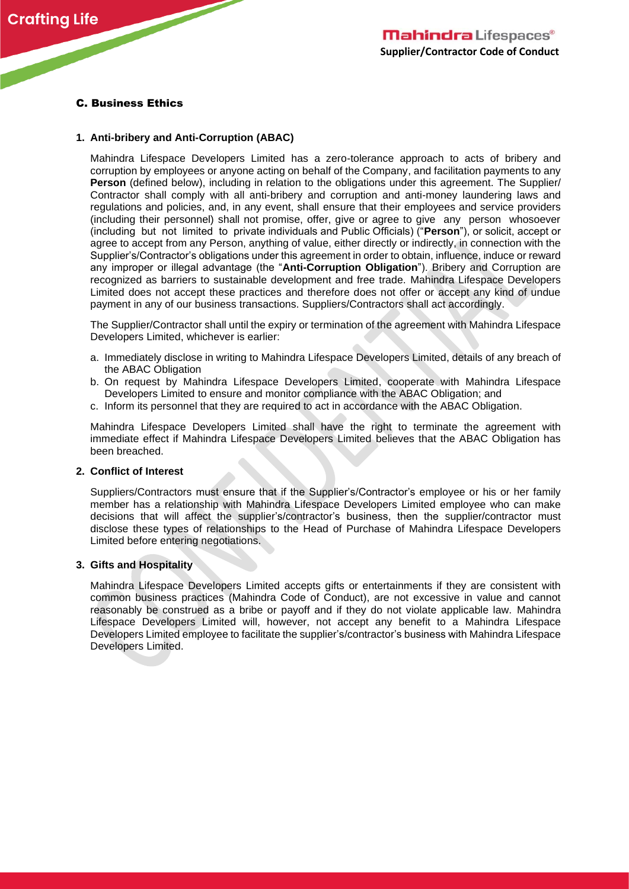# C. Business Ethics

### **1. Anti-bribery and Anti-Corruption (ABAC)**

Mahindra Lifespace Developers Limited has a zero-tolerance approach to acts of bribery and corruption by employees or anyone acting on behalf of the Company, and facilitation payments to any **Person** (defined below), including in relation to the obligations under this agreement. The Supplier/ Contractor shall comply with all anti-bribery and corruption and anti-money laundering laws and regulations and policies, and, in any event, shall ensure that their employees and service providers (including their personnel) shall not promise, offer, give or agree to give any person whosoever (including but not limited to private individuals and Public Officials) ("**Person**"), or solicit, accept or agree to accept from any Person, anything of value, either directly or indirectly, in connection with the Supplier's/Contractor's obligations under this agreement in order to obtain, influence, induce or reward any improper or illegal advantage (the "**Anti-Corruption Obligation**"). Bribery and Corruption are recognized as barriers to sustainable development and free trade. Mahindra Lifespace Developers Limited does not accept these practices and therefore does not offer or accept any kind of undue payment in any of our business transactions. Suppliers/Contractors shall act accordingly.

The Supplier/Contractor shall until the expiry or termination of the agreement with Mahindra Lifespace Developers Limited, whichever is earlier:

- a. Immediately disclose in writing to Mahindra Lifespace Developers Limited, details of any breach of the ABAC Obligation
- b. On request by Mahindra Lifespace Developers Limited, cooperate with Mahindra Lifespace Developers Limited to ensure and monitor compliance with the ABAC Obligation; and
- c. Inform its personnel that they are required to act in accordance with the ABAC Obligation.

Mahindra Lifespace Developers Limited shall have the right to terminate the agreement with immediate effect if Mahindra Lifespace Developers Limited believes that the ABAC Obligation has been breached.

#### **2. Conflict of Interest**

Suppliers/Contractors must ensure that if the Supplier's/Contractor's employee or his or her family member has a relationship with Mahindra Lifespace Developers Limited employee who can make decisions that will affect the supplier's/contractor's business, then the supplier/contractor must disclose these types of relationships to the Head of Purchase of Mahindra Lifespace Developers Limited before entering negotiations.

#### **3. Gifts and Hospitality**

Mahindra Lifespace Developers Limited accepts gifts or entertainments if they are consistent with common business practices (Mahindra Code of Conduct), are not excessive in value and cannot reasonably be construed as a bribe or payoff and if they do not violate applicable law. Mahindra Lifespace Developers Limited will, however, not accept any benefit to a Mahindra Lifespace Developers Limited employee to facilitate the supplier's/contractor's business with Mahindra Lifespace Developers Limited.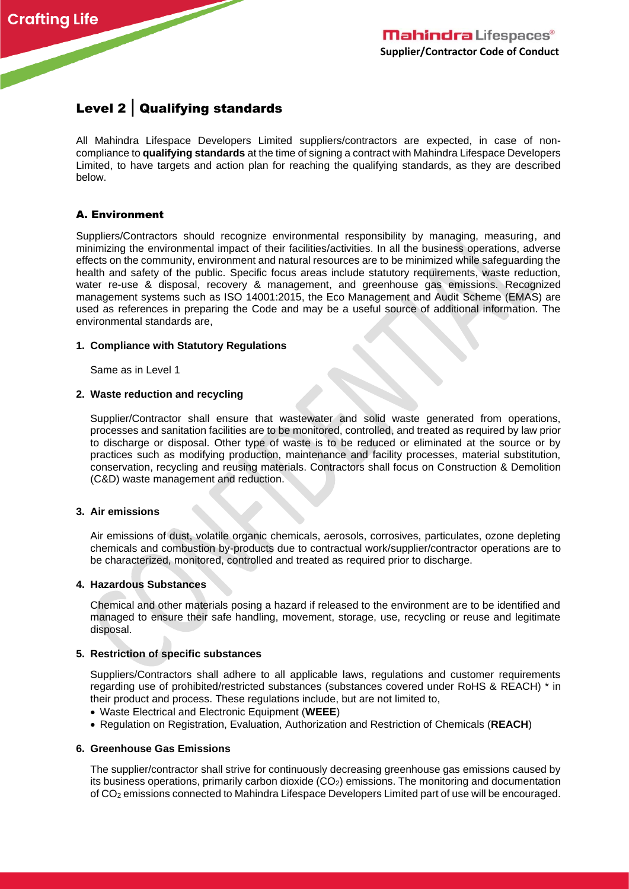# Level 2 | Qualifying standards

All Mahindra Lifespace Developers Limited suppliers/contractors are expected, in case of noncompliance to **qualifying standards** at the time of signing a contract with Mahindra Lifespace Developers Limited, to have targets and action plan for reaching the qualifying standards, as they are described below.

# A. Environment

Suppliers/Contractors should recognize environmental responsibility by managing, measuring, and minimizing the environmental impact of their facilities/activities. In all the business operations, adverse effects on the community, environment and natural resources are to be minimized while safeguarding the health and safety of the public. Specific focus areas include statutory requirements, waste reduction, water re-use & disposal, recovery & management, and greenhouse gas emissions. Recognized management systems such as ISO 14001:2015, the Eco Management and Audit Scheme (EMAS) are used as references in preparing the Code and may be a useful source of additional information. The environmental standards are,

### **1. Compliance with Statutory Regulations**

Same as in Level 1

### **2. Waste reduction and recycling**

Supplier/Contractor shall ensure that wastewater and solid waste generated from operations, processes and sanitation facilities are to be monitored, controlled, and treated as required by law prior to discharge or disposal. Other type of waste is to be reduced or eliminated at the source or by practices such as modifying production, maintenance and facility processes, material substitution, conservation, recycling and reusing materials. Contractors shall focus on Construction & Demolition (C&D) waste management and reduction.

#### **3. Air emissions**

Air emissions of dust, volatile organic chemicals, aerosols, corrosives, particulates, ozone depleting chemicals and combustion by-products due to contractual work/supplier/contractor operations are to be characterized, monitored, controlled and treated as required prior to discharge.

#### **4. Hazardous Substances**

Chemical and other materials posing a hazard if released to the environment are to be identified and managed to ensure their safe handling, movement, storage, use, recycling or reuse and legitimate disposal.

#### **5. Restriction of specific substances**

Suppliers/Contractors shall adhere to all applicable laws, regulations and customer requirements regarding use of prohibited/restricted substances (substances covered under RoHS & REACH) \* in their product and process. These regulations include, but are not limited to,

- Waste Electrical and Electronic Equipment (**WEEE**)
- Regulation on Registration, Evaluation, Authorization and Restriction of Chemicals (**REACH**)

#### **6. Greenhouse Gas Emissions**

The supplier/contractor shall strive for continuously decreasing greenhouse gas emissions caused by its business operations, primarily carbon dioxide  $(CO<sub>2</sub>)$  emissions. The monitoring and documentation of CO<sup>2</sup> emissions connected to Mahindra Lifespace Developers Limited part of use will be encouraged.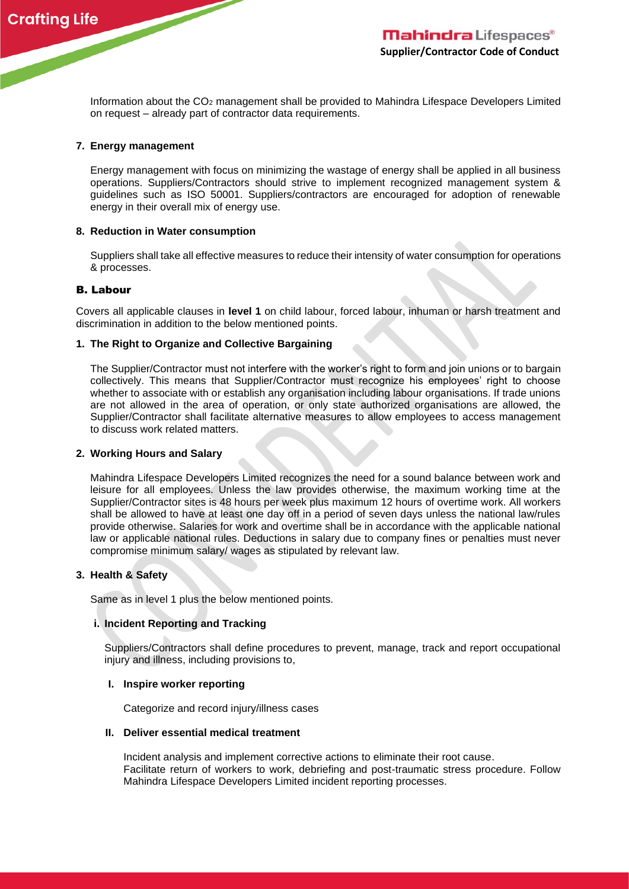

Information about the CO<sup>2</sup> management shall be provided to Mahindra Lifespace Developers Limited on request – already part of contractor data requirements.

### **7. Energy management**

Energy management with focus on minimizing the wastage of energy shall be applied in all business operations. Suppliers/Contractors should strive to implement recognized management system & guidelines such as ISO 50001. Suppliers/contractors are encouraged for adoption of renewable energy in their overall mix of energy use.

#### **8. Reduction in Water consumption**

Suppliers shall take all effective measures to reduce their intensity of water consumption for operations & processes.

#### B. Labour

Covers all applicable clauses in **level 1** on child labour, forced labour, inhuman or harsh treatment and discrimination in addition to the below mentioned points.

#### **1. The Right to Organize and Collective Bargaining**

The Supplier/Contractor must not interfere with the worker's right to form and join unions or to bargain collectively. This means that Supplier/Contractor must recognize his employees' right to choose whether to associate with or establish any organisation including labour organisations. If trade unions are not allowed in the area of operation, or only state authorized organisations are allowed, the Supplier/Contractor shall facilitate alternative measures to allow employees to access management to discuss work related matters.

#### **2. Working Hours and Salary**

Mahindra Lifespace Developers Limited recognizes the need for a sound balance between work and leisure for all employees. Unless the law provides otherwise, the maximum working time at the Supplier/Contractor sites is 48 hours per week plus maximum 12 hours of overtime work. All workers shall be allowed to have at least one day off in a period of seven days unless the national law/rules provide otherwise. Salaries for work and overtime shall be in accordance with the applicable national law or applicable national rules. Deductions in salary due to company fines or penalties must never compromise minimum salary/ wages as stipulated by relevant law.

#### **3. Health & Safety**

Same as in level 1 plus the below mentioned points.

#### **i. Incident Reporting and Tracking**

Suppliers/Contractors shall define procedures to prevent, manage, track and report occupational injury and illness, including provisions to,

#### **I. Inspire worker reporting**

Categorize and record injury/illness cases

#### **II. Deliver essential medical treatment**

Incident analysis and implement corrective actions to eliminate their root cause. Facilitate return of workers to work, debriefing and post-traumatic stress procedure. Follow Mahindra Lifespace Developers Limited incident reporting processes.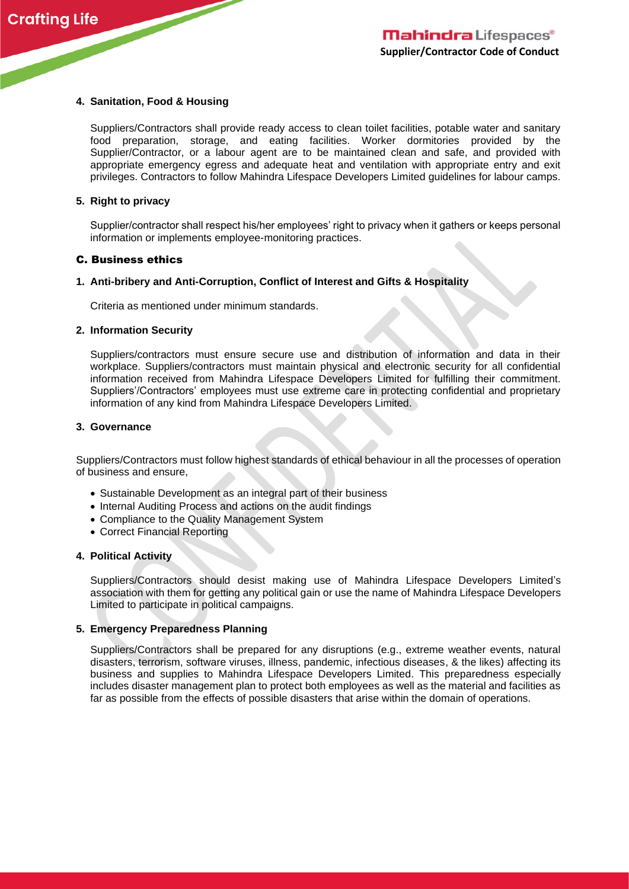### **4. Sanitation, Food & Housing**

Suppliers/Contractors shall provide ready access to clean toilet facilities, potable water and sanitary food preparation, storage, and eating facilities. Worker dormitories provided by the Supplier/Contractor, or a labour agent are to be maintained clean and safe, and provided with appropriate emergency egress and adequate heat and ventilation with appropriate entry and exit privileges. Contractors to follow Mahindra Lifespace Developers Limited guidelines for labour camps.

#### **5. Right to privacy**

Supplier/contractor shall respect his/her employees' right to privacy when it gathers or keeps personal information or implements employee-monitoring practices.

#### C. Business ethics

### **1. Anti-bribery and Anti-Corruption, Conflict of Interest and Gifts & Hospitality**

Criteria as mentioned under minimum standards.

#### **2. Information Security**

Suppliers/contractors must ensure secure use and distribution of information and data in their workplace. Suppliers/contractors must maintain physical and electronic security for all confidential information received from Mahindra Lifespace Developers Limited for fulfilling their commitment. Suppliers'/Contractors' employees must use extreme care in protecting confidential and proprietary information of any kind from Mahindra Lifespace Developers Limited.

#### **3. Governance**

Suppliers/Contractors must follow highest standards of ethical behaviour in all the processes of operation of business and ensure,

- Sustainable Development as an integral part of their business
- Internal Auditing Process and actions on the audit findings
- Compliance to the Quality Management System
- Correct Financial Reporting

#### **4. Political Activity**

Suppliers/Contractors should desist making use of Mahindra Lifespace Developers Limited's association with them for getting any political gain or use the name of Mahindra Lifespace Developers Limited to participate in political campaigns.

### **5. Emergency Preparedness Planning**

Suppliers/Contractors shall be prepared for any disruptions (e.g., extreme weather events, natural disasters, terrorism, software viruses, illness, pandemic, infectious diseases, & the likes) affecting its business and supplies to Mahindra Lifespace Developers Limited. This preparedness especially includes disaster management plan to protect both employees as well as the material and facilities as far as possible from the effects of possible disasters that arise within the domain of operations.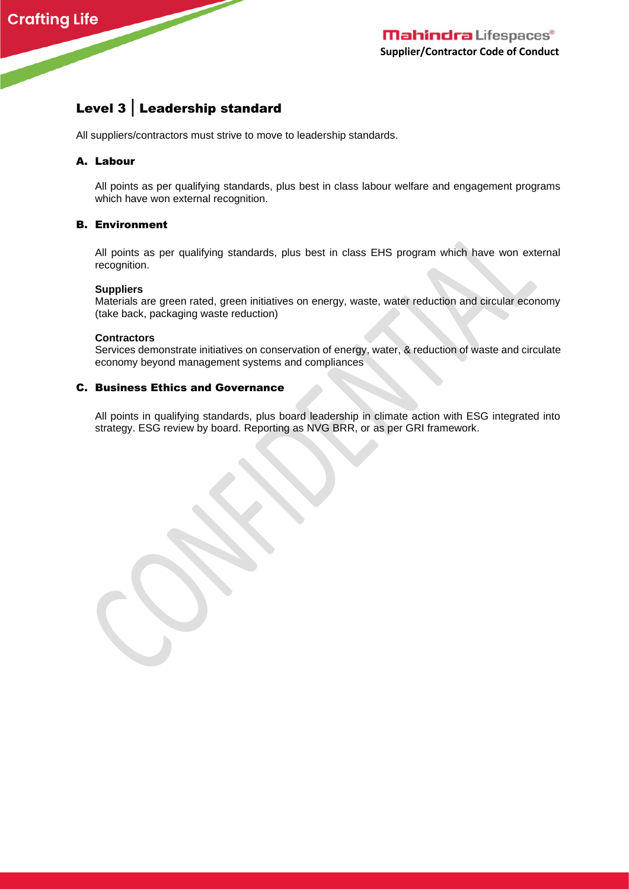# Level 3 | Leadership standard

All suppliers/contractors must strive to move to leadership standards.

# A. Labour

All points as per qualifying standards, plus best in class labour welfare and engagement programs which have won external recognition.

### B. Environment

All points as per qualifying standards, plus best in class EHS program which have won external recognition.

#### **Suppliers**

Materials are green rated, green initiatives on energy, waste, water reduction and circular economy (take back, packaging waste reduction)

#### **Contractors**

Services demonstrate initiatives on conservation of energy, water, & reduction of waste and circulate economy beyond management systems and compliances

# C. Business Ethics and Governance

All points in qualifying standards, plus board leadership in climate action with ESG integrated into strategy. ESG review by board. Reporting as NVG BRR, or as per GRI framework.